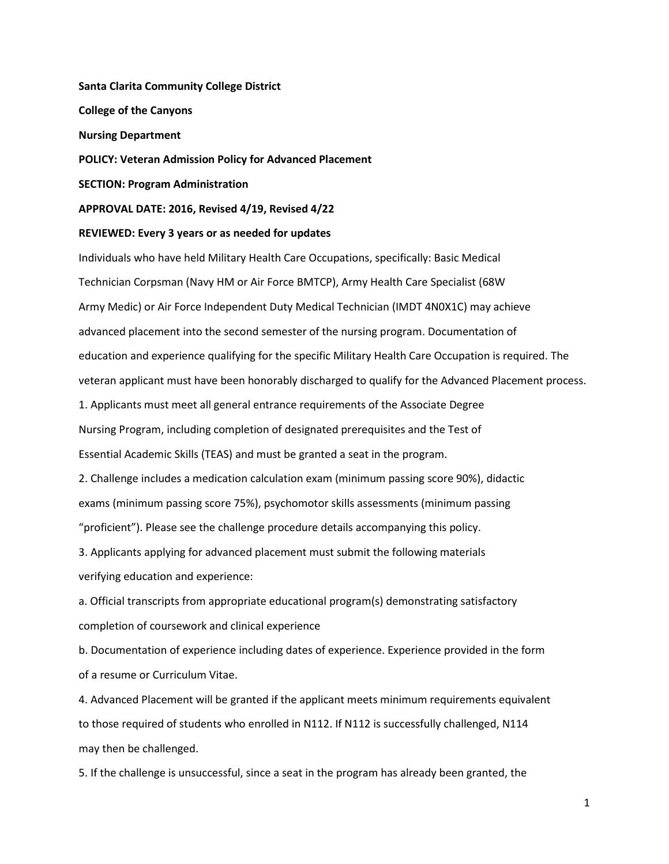**Santa Clarita Community College District College of the Canyons Nursing Department POLICY: Veteran Admission Policy for Advanced Placement SECTION: Program Administration APPROVAL DATE: 2016, Revised 4/19, Revised 4/22** 

## **REVIEWED: Every 3 years or as needed for updates**

 Individuals who have held Military Health Care Occupations, specifically: Basic Medical Army Medic) or Air Force Independent Duty Medical Technician (IMDT 4N0X1C) may achieve education and experience qualifying for the specific Military Health Care Occupation is required. The 1. Applicants must meet all general entrance requirements of the Associate Degree Nursing Program, including completion of designated prerequisites and the Test of Technician Corpsman (Navy HM or Air Force BMTCP), Army Health Care Specialist (68W advanced placement into the second semester of the nursing program. Documentation of veteran applicant must have been honorably discharged to qualify for the Advanced Placement process. Essential Academic Skills (TEAS) and must be granted a seat in the program.

2. Challenge includes a medication calculation exam (minimum passing score 90%), didactic exams (minimum passing score 75%), psychomotor skills assessments (minimum passing "proficient"). Please see the challenge procedure details accompanying this policy.

 3. Applicants applying for advanced placement must submit the following materials verifying education and experience:

 a. Official transcripts from appropriate educational program(s) demonstrating satisfactory completion of coursework and clinical experience

b. Documentation of experience including dates of experience. Experience provided in the form of a resume or Curriculum Vitae.

 to those required of students who enrolled in N112. If N112 is successfully challenged, N114 4. Advanced Placement will be granted if the applicant meets minimum requirements equivalent may then be challenged.

5. If the challenge is unsuccessful, since a seat in the program has already been granted, the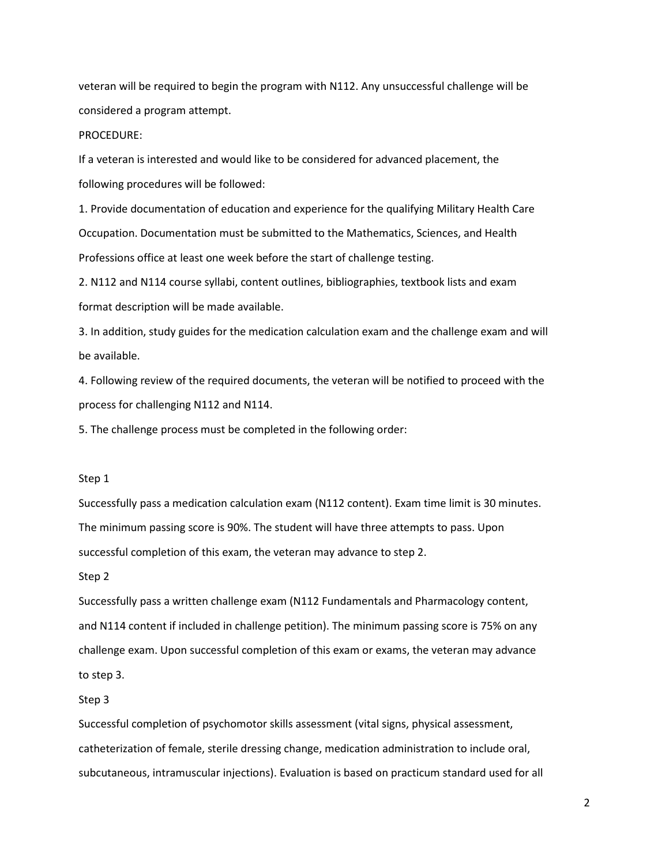veteran will be required to begin the program with N112. Any unsuccessful challenge will be considered a program attempt.

## PROCEDURE:

If a veteran is interested and would like to be considered for advanced placement, the following procedures will be followed:

1. Provide documentation of education and experience for the qualifying Military Health Care Occupation. Documentation must be submitted to the Mathematics, Sciences, and Health Professions office at least one week before the start of challenge testing.

2. N112 and N114 course syllabi, content outlines, bibliographies, textbook lists and exam format description will be made available.

 3. In addition, study guides for the medication calculation exam and the challenge exam and will be available.

4. Following review of the required documents, the veteran will be notified to proceed with the process for challenging N112 and N114.

5. The challenge process must be completed in the following order:

## Step 1

 The minimum passing score is 90%. The student will have three attempts to pass. Upon successful completion of this exam, the veteran may advance to step 2. Successfully pass a medication calculation exam (N112 content). Exam time limit is 30 minutes.

Step 2

 and N114 content if included in challenge petition). The minimum passing score is 75% on any challenge exam. Upon successful completion of this exam or exams, the veteran may advance Successfully pass a written challenge exam (N112 Fundamentals and Pharmacology content, to step 3.

## Step 3

 catheterization of female, sterile dressing change, medication administration to include oral, Successful completion of psychomotor skills assessment (vital signs, physical assessment, subcutaneous, intramuscular injections). Evaluation is based on practicum standard used for all